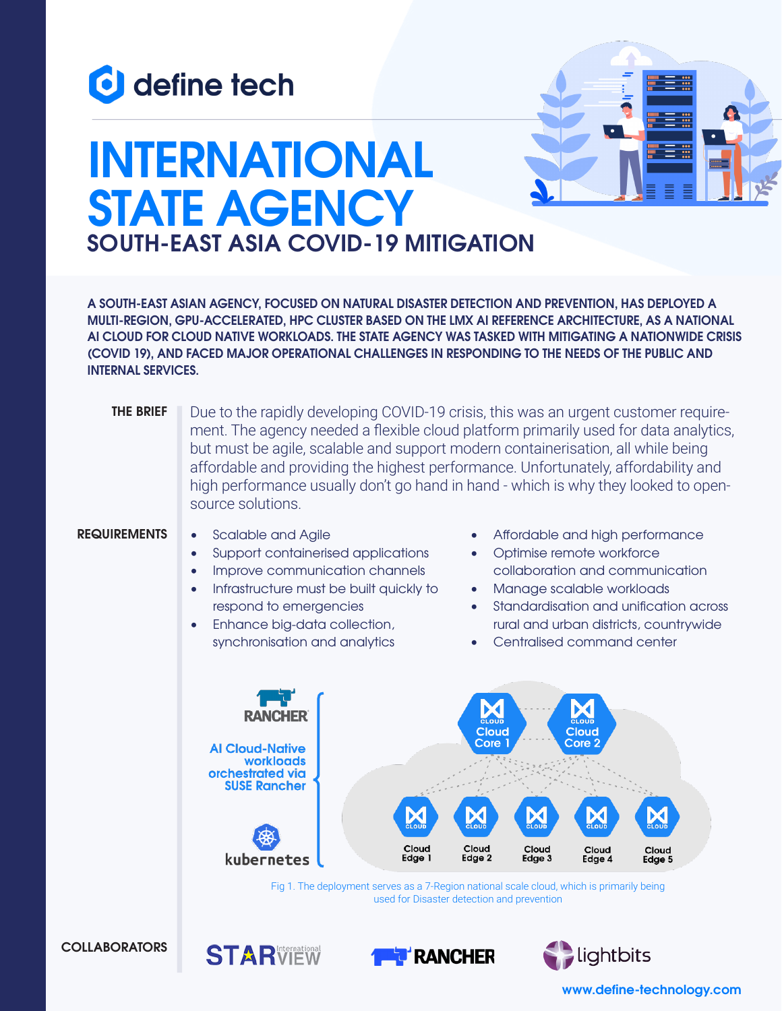



# **INTERNATIONAL STATE AGENCY SOUTH-EAST ASIA COVID-19 MITIGATION**

**A SOUTH-EAST ASIAN AGENCY, FOCUSED ON NATURAL DISASTER DETECTION AND PREVENTION, HAS DEPLOYED A MULTI-REGION, GPU-ACCELERATED, HPC CLUSTER BASED ON THE LMX AI REFERENCE ARCHITECTURE, AS A NATIONAL AI CLOUD FOR CLOUD NATIVE WORKLOADS. THE STATE AGENCY WAS TASKED WITH MITIGATING A NATIONWIDE CRISIS (COVID 19), AND FACED MAJOR OPERATIONAL CHALLENGES IN RESPONDING TO THE NEEDS OF THE PUBLIC AND INTERNAL SERVICES.**

Due to the rapidly developing COVID-19 crisis, this was an urgent customer requirement. The agency needed a flexible cloud platform primarily used for data analytics, but must be agile, scalable and support modern containerisation, all while being affordable and providing the highest performance. Unfortunately, affordability and high performance usually don't go hand in hand - which is why they looked to opensource solutions. **THE BRIEF**

#### **REQUIREMENTS**

Scalable and Agile

**STARVIEW** 

- Support containerised applications
- Improve communication channels
- Infrastructure must be built quickly to respond to emergencies
- Enhance big-data collection, synchronisation and analytics
- Affordable and high performance
- Optimise remote workforce collaboration and communication
- Manage scalable workloads
- Standardisation and unification across rural and urban districts, countrywide
- Centralised command center



Fig 1. The deployment serves as a 7-Region national scale cloud, which is primarily being used for Disaster detection and prevention

**RANCHER** 



#### **www.define-technology.com**